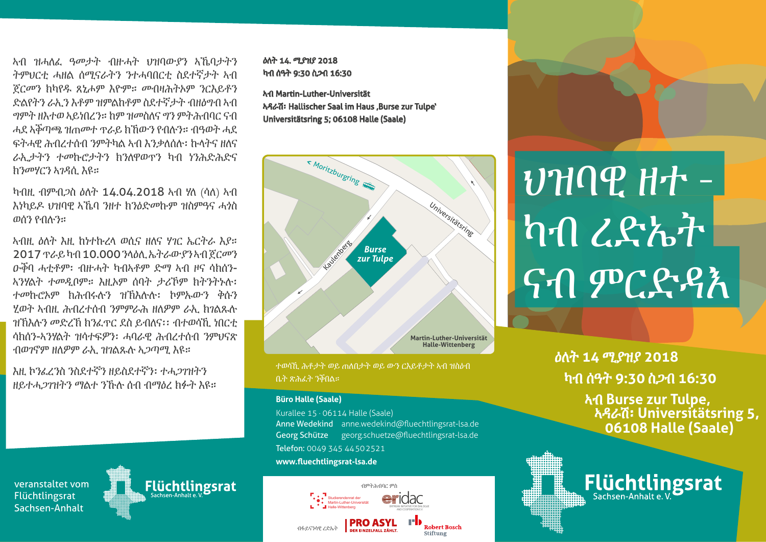ኣብ ዝሓለፈ ዓመታት ብዙሓት ህዝባውያን ኣኼባታትን ትምህርቲ ሓዘል ሰሚናራትን ንተሓባበርቲ ስደተኛታት ኣብ ጀርመን ክካየዱ ጸኒሖም እዮም። መብዛሕትኦም ንርእይቶን ድልየትን ራኢን እቶም ዝምልከቶም ስደተኛታት ብዘዕግብ ኣብ ግምት ዘእተወ ኣይነበረን። ከም ዝመስለና ግን ምትሕብባር ናብ ሓደ ኣቕጣጫ ዝጠመተ ጥራይ ክኸውን የብሉን። ብዓወት ሓደ ፍትሓዊ ሕብረተሰብ ንምትካል ኣብ እንቃለሰሉ፡ ኩላትና ዘለና ራኢታትን ተመኩሮታትን ክንለዋወጥን ካብ ነንሕድሕድና ክንመሃርን ኣገዳሲ እዩ።

ካብዚ ብምብጋስ ዕለት 14.04.2018 ኣብ ሃለ (ሳለ) ኣብ እነካይዶ ህዝባዊ ኣኼባ ንዘተ ክንዕድመኩም ዝስምዓና ሓጎስ ወሰን የብሉን።

ኣብዚ ዕለት እዚ ከነተኩረላ ወሲና ዘለና ሃገር ኤርትራ እያ። 2017 ጥራይ ካብ 10.000 ንላዕሊ ኤትራውያን ኣብ ጀርመን ዑቕባ ሓቲቶም፡ ብዙሓት ካብኣቶም ድማ ኣብ ዞና ሳክሰን-ኣንሃልት ተመዲቦም። እዚኦም ሰባት ታሪኾም ክትንትኑሉ፡ ተመኩሮኦም ክሕብሩሉን ዝኽእሉሉ፡ ኮምኡውን ቅሱን ሂወት ኣብዚ ሕብረተሰብ ንምምራሕ ዘለዎም ራኢ ክገልጹሉ ዝኽእሉን መድረኽ ክንፈጥር ደስ ይብለና፡፡ ብተወሳኺ ነበርቲ ሳክሰን-ኣንሃልት ዝሳተፍዎን፡ ሓባራዊ ሕብረተሰብ ንምህናጽ ብወገኖም ዘለዎም ራኢ ዝገልጹሉ ኣጋጣሚ እዩ።

እዚ ኮንፈረንስ ንስደተኛን ዘይስደተኛን፡ ተሓጋገዝትን ዘይተሓጋገዝትን ማልተ ንኹሉ ሰብ ብማዕረ ክፉት እዩ።

veranstaltet vom Flüchtlingsrat Sachsen-Anhalt

ዕለት 14. ሚያዝያ 2018 ካብ ሰዓት 9:30 ስጋብ 16:30

ኣብ Martin-Luther-Universität ኣዳራሽ፡ Hallischer Saal im Haus 'Burse zur Tulpe' Universitätsring 5; 06108 Halle (Saale)



ተወሳኺ ሕቶታት ወይ ጠለበታት ወይ ውን ርእይቶታት ኣብ ዝስዕብ ቤት ጽሕፈት ንቕበል።

#### **Büro Halle (Saale)**

*er*idac

Flüchtlingsrat

Kurallee 15 · 06114 Halle (Saale) Anne Wedekind anne.wedekind@fluechtlingsrat-lsa.de Georg Schütze georg.schuetze@fluechtlingsrat-lsa.de Telefon: 0049 345 44502521 **www.fluechtlingsrat-lsa.de**

#### ብምትሕብባር ምስ idac ac **er**IC Studierendenrat der Martin-Luther-Universität Halle-Wittenberg AND COOPERATION E.V. **PRO ASYL**  $H^{\bullet}$  Robert Bosch ብፋይናንሳዊ ረድኤት Stiftung TegelerWeg100

# ህዝባዊ ዘተ - ካብ ረድኤት ናብ ምርድዳእ

ዕለት **14** ሚያዝያ **2018** ካብ ሰዓት **9:30** ስጋብ **16:30** 

> ኣብ **Burse zur Tulpe,** ኣዳራሽ፡ **Universitätsring 5, 06108 Halle (Saale)**

Flüchtlingsrat